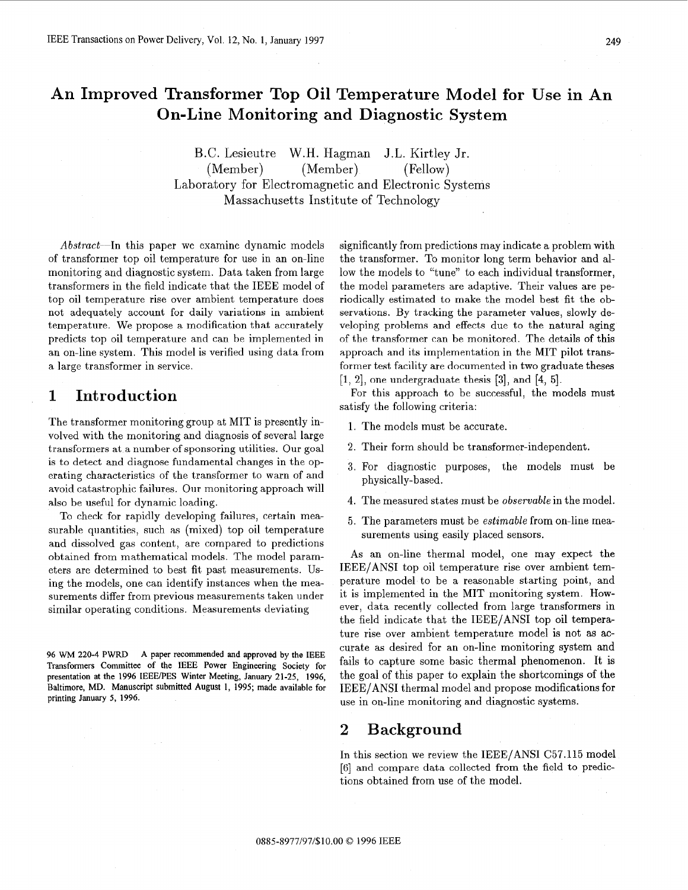# **An Improved Transformer Top Oil Temperature Model for Use** in **An On-Line Monitoring and Diagnostic System**

B.C. Lesieutre W.H. Hagman J.L. Kirtley Jr. (Member) (Member) (Fellow) Laboratory for Electromagnetic and Electronic Systems Massachusetts Institute of Technology

Abstract--In this paper we examine dynamic models of transformer top oil temperature for use in an on-line monitoring and diagnostic system. Data taken from large transformers in the field indicate that the IEEE model of top oil temperature rise over ambient temperature does not adequately account for daily variations in ambient temperature. We propose a modification that accurately predicts top oil temperature and can be implemented in an on-line system. This model is verified using data from a large transformer in service.

## **1 Introduction**

The transformer monitoring group at MIT is presently involved with the monitoring and diagnosis of several large transformers at a number of sponsoring utilities. Our goal is to detect and diagnose fundamental changes in the operating characteristics of the transformer to warn of and avoid catastrophic failures. Our monitoring approach will also be useful for dynamic loading.

To check for rapidly developing failures, certain measurable quantities, such as (mixed) top oil temperature and dissolved gas content, are compared to predictions obtained from mathematical models. The model parameters are determined to best fit past measurements. Using the models, one can identify instances when the measurements differ from previous measurements taken under similar operating conditions. Measurements deviating

**96** WM **220-4 PWRD A paper recommended and approved by the IEEE Transformers Committee of the** IEEE **Power Engineering Society for presentation at the 1996 IEEERES Winter Meeting,** January **21-25, 1996, Baltimore, MD. Manuscript submitted August 1, 1995; made available for printing** January **5, 1996.** 

significantly from predictions may indicate a problem with the transformer. To monitor long term behavior and allow the models to "tune" to each individual transformer, the model parameters are adaptive. Their values are periodically estimated to make the model best fit the observations. By tracking the parameter values, slowly developing problems and effects due to the natural aging of the transformer can be monitored. The details of this approach and its implementation in the MIT pilot transformer test facility are documented in two graduate theses [l, 21, one undergraduate thesis **[3],** and [4, 51.

For this approach to be successful, the models must satisfy the following criteria:

- 1. The models must be accurate.
- 2. Their form should be transformer-independent.
- **3.** For diagnostic purposes, the models must be physically-based.
- 4. The measured states must be observable in the model.
- 5. The parameters must be estimable from on-line measurements using easily placed sensors.

**As** an on-line thermal model, one may expect the IEEE/ANSI top oil temperature rise over ambient temperature model to be a reasonable starting point, and it is implemented in the MIT monitoring system. However, data recently collected from large transformers in the field indicate that the IEEE/ANSI top oil temperature rise over ambient temperature model is not as accurate as desired for an on-line monitoring system and fails to capture some basic thermal phenomenon. It is the goal of this paper to explain the shortcomings of the IEEE/ANSI thermal model and propose modifications for use in on-line monitoring and diagnostic systems.

#### **2 Background**

In this section we review the IEEE/ANSI C57.115 model [6] and compare data collected from the field to predictions obtained from use of the model.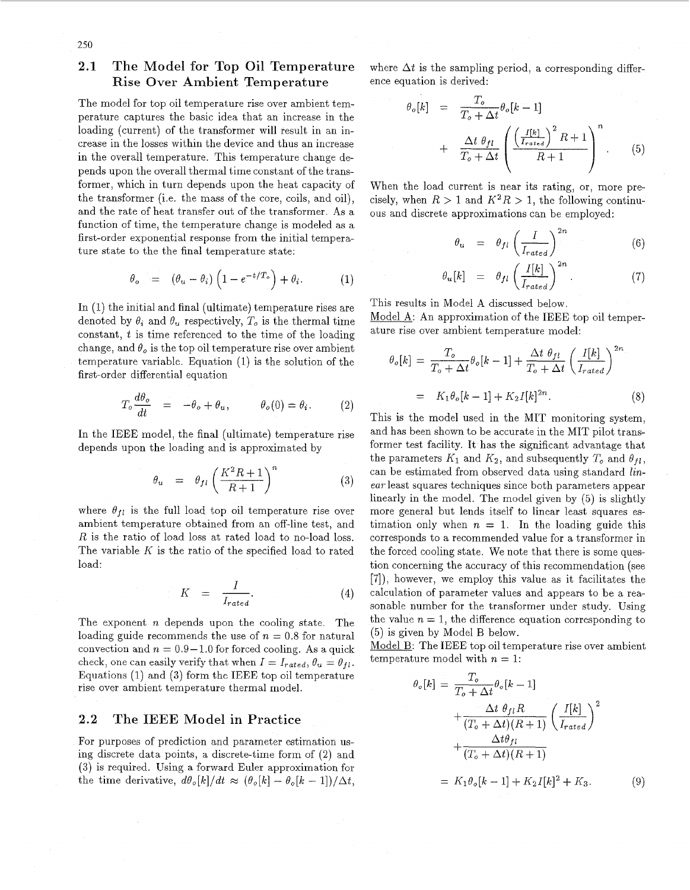#### **2.1** The Model for Top Oil Temperature Rise Over Ambient Temperature

The model for top oil temperature rise over ambient tem- $\theta$ loading (current) of the transformer will result in an increase in the losses within the device and thus an increase pends upon the overall thermal time constant of the transformer, which in turn depends upon the heat capacity of the transformer (i.e. the mass of the core, coils, and oil), and the rate of heat transfer out of the transformer. As a function of time, the temperature change is modeled as a first-order exponential response from the initial temperature state to the the final temperature state: perature captures the basic idea that an increase in the in the overall temperature. This temperature change de-

$$
\theta_o = (\theta_u - \theta_i) \left( 1 - e^{-t/T_o} \right) + \theta_i.
$$
 (1)

In (1) the initial and final (ultimate) temperature rises are denoted by  $\theta_i$  and  $\theta_u$  respectively,  $T_o$  is the thermal time constant, *t* is time referenced to the time of the loading change, and  $\theta_o$  is the top oil temperature rise over ambient temperature variable. Equation (1) is the solution of the first-order differential equation

$$
T_o \frac{d\theta_o}{dt} = -\theta_o + \theta_u, \qquad \theta_o(0) = \theta_i. \qquad (2)
$$

In the IEEE model, the final (ultimate) temperature rise depends upon the loading and is approximated by

$$
\theta_u = \theta_{fl} \left(\frac{K^2 R + 1}{R + 1}\right)^n \tag{3}
$$

where  $\theta_{fl}$  is the full load top oil temperature rise over ambient temperature obtained from an off-line test, and *R* is the ratio of load loss at rated load to no-load loss. The variable *K* is the ratio of the specified load to rated load:

$$
K = \frac{I}{I_{rated}}.\t(4)
$$

The exponent *n* depends upon the cooling state. The loading guide recommends the use of  $n = 0.8$  for natural convection and  $n = 0.9-1.0$  for forced cooling. As a quick check, one can easily verify that when  $I = I_{rated}$ ,  $\theta_u = \theta_{fl}$ . Equations (1) and *(3)* form the IEEE top oil temperature rise over ambient temperature thermal model.

#### **2.2** The **IEEE** Model in Practice

For purposes of prediction and parameter estimation using discrete data points, a discrete-time form of (2) and *(3)* is required. Using a forward Euler approximation for the time derivative,  $d\theta_o[k]/dt \approx (\theta_o[k] - \theta_o[k-1])/\Delta t$ ,

where  $\Delta t$  is the sampling period, a corresponding difference equation is derived:

$$
\begin{array}{rcl}\n\sigma[k] & = & \frac{T_o}{T_o + \Delta t} \theta_o[k-1] \\
& + & \frac{\Delta t \theta_{fl}}{T_o + \Delta t} \left( \frac{\left(\frac{I[k]}{I_{rated}}\right)^2 R + 1}{R + 1} \right)^n.\n\end{array} \tag{5}
$$

When the load current is near its rating, or, more precisely, when  $R > 1$  and  $K^2 R > 1$ , the following continuous and discrete approximations can be employed:

$$
\theta_u = \theta_{fl} \left( \frac{I}{I_{rated}} \right)^{2n} \tag{6}
$$

$$
\theta_o = (\theta_u - \theta_i) \left( 1 - e^{-t/T_o} \right) + \theta_i. \tag{7}
$$

This results in Model A discussed Model A: An approximation of the IEEE top oil temperature rise over ambient temperature model:

$$
\theta_o[k] = \frac{T_o}{T_o + \Delta t} \theta_o[k-1] + \frac{\Delta t \theta_{fl}}{T_o + \Delta t} \left(\frac{I[k]}{I_{rated}}\right)^{2n}
$$

$$
= K_1 \theta_o[k-1] + K_2 I[k]^{2n}.
$$
 (8)

This is the model used in the MIT monitoring system, and has been shown to be accurate in the MIT pilot transformer test facility. It has the significant advantage that the parameters  $K_1$  and  $K_2$ , and subsequently  $T_o$  and  $\theta_{fl}$ , can be estimated from observed data using standard *lin*ear least squares techniques since both parameters appear linearly in the model. The model given by (5) is slightly more general but lends itself to linear least squares estimation only when  $n = 1$ . In the loading guide this corresponds to a recommended value for a transformer in the forced cooling state. We note that there is some question concerning the accuracy of this recommendation (see *[7]),* however, we employ this value as it facilitates the calculation of parameter values and appears to be a reasonable number for the transformer under study. Using the value  $n = 1$ , the difference equation corresponding to (5) is given by Model B below.

Model B: The IEEE top oil temperature rise over ambient temperature model with  $n = 1$ :

$$
\theta_o[k] = \frac{T_o}{T_o + \Delta t} \theta_o[k-1]
$$
  
+ 
$$
\frac{\Delta t \theta_{fl} R}{(T_o + \Delta t)(R+1)} \left(\frac{I[k]}{I_{rated}}\right)^2
$$
  
+ 
$$
\frac{\Delta t \theta_{fl}}{(T_o + \Delta t)(R+1)}
$$
  
= 
$$
K_1 \theta_o[k-1] + K_2 I[k]^2 + K_3.
$$
 (9)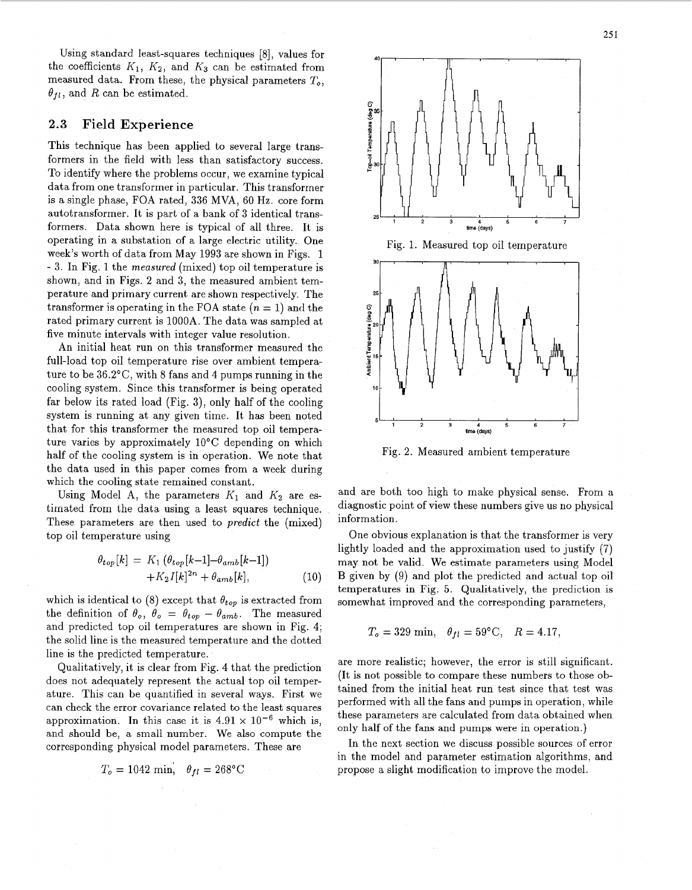<span id="page-2-0"></span>Using standard least-squares techniques [8], values for the coefficients  $K_1$ ,  $K_2$ , and  $K_3$  can be estimated from measured data. From these, the physical parameters *To,*   $\theta_{fl}$ , and *R* can be estimated.

#### **2.3 Field Experience**

This technique has been applied to several large transformers in the field with less than satisfactory success. To identify where the problems occur, we examine typical data from one transformer in particular. This transformer is a single phase, FOA rated, 336 MVA, 60 **Hz.** core form autotransformer. It is part of a bank of 3 identical transformers. Data shown here is typical of all three. It is operating in a substation of a large electric utility. One week's worth of data from May 1993 are shown in Figs. 1 - 3. In Fig. 1 the measured (mixed) top oil temperature is shown, and in Figs. 2 and 3, the measured ambient temperature and primary current are shown respectively. The transformer is operating in the FOA state  $(n = 1)$  and the rated primary current is 1000A. The data was sampled at five minute intervals with integer value resolution.

An initial heat run on this transformer measured the full-load top oil temperature rise over ambient temperature to be  $36.2^{\circ}$ C, with 8 fans and 4 pumps running in the cooling system. Since this transformer is being operated far below its rated load (Fig. 3), only half of the cooling system is running at any given time. It has been noted that for this transformer the measured top oil temperature varies by approximately 10°C depending on which half of the cooling system is in operation. We note that the data used in this paper comes from a week during which the cooling state remained constant.

Using Model A, the parameters  $K_1$  and  $K_2$  are estimated from the data using a least squares technique. These parameters are then used to *predict* the (mixed) top oil temperature using

$$
\theta_{top}[k] = K_1 (\theta_{top}[k-1] - \theta_{amb}[k-1]) + K_2 I[k]^{2n} + \theta_{amb}[k],
$$
\n(10)

which is identical to (8) except that  $\theta_{top}$  is extracted from the definition of  $\theta_o$ ,  $\theta_o = \theta_{top} - \theta_{amb}$ . The measured and predicted top oil temperatures are shown in Fig. 4; the solid line is the measured temperature and the dotted line is the predicted temperature.

Qualitatively, it is clear from Fig. 4 that the prediction does not adequately represent the actual top oil temperature. This can be quantified in several ways. First we can check the error covariance related to the least squares approximation. In this case it is  $4.91 \times 10^{-6}$  which is, and should be, a small number. We also compute the corresponding physical model parameters. These are

$$
T_o = 1042 \text{ min}, \quad \theta_{fl} = 268 \text{°C}
$$



Fig. 2. Measured ambient temperature

and are both too high to make physical sense. From a diagnostic point of view these numbers give us no physical information.

One obvious explanation is that the transformer is very lightly loaded and the approximation used to justify (7) may not be valid. We estimate parameters using Model B given by (9) and plot the predicted and actual top oil temperatures in Fig. 5. Qualitatively, the prediction is somewhat improved and the corresponding parameters,

$$
T_o = 329 \text{ min}, \quad \theta_{fl} = 59^{\circ} \text{C}, \quad R = 4.17,
$$

are more realistic; however, the error is still significant. (It is not possible to compare these numbers to those obtained from the initial heat run test since that test was performed with all the fans and pumps in operation, while these parameters are calculated from data obtained when only half of the fans and pumps were in operation.)

In the next section we discuss possible sources of error in the model and parameter estimation algorithms, and propose a slight modification to improve the model.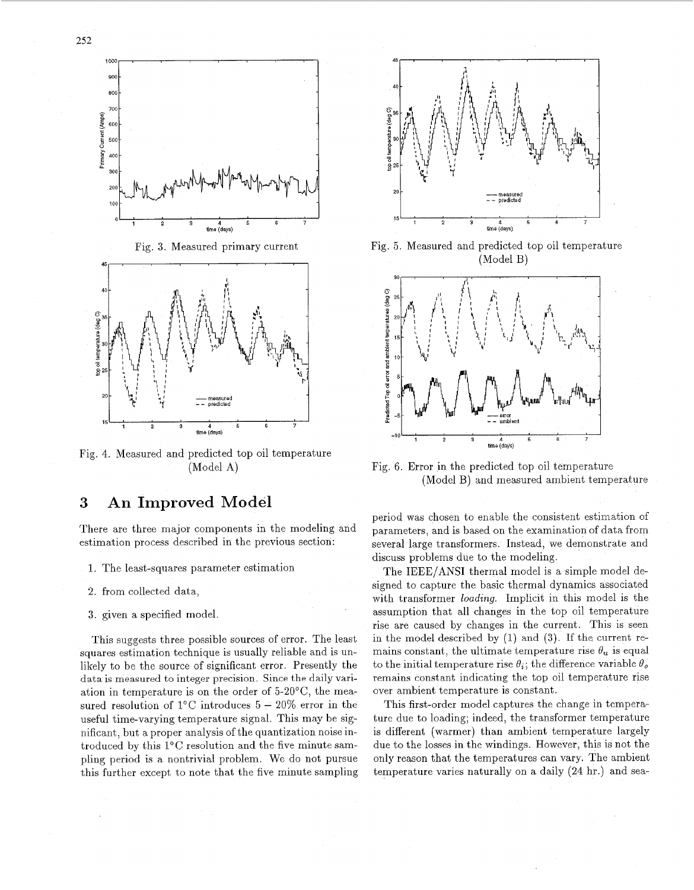

Fig. 4. Measured and predicted top oil temperature (Model A)

### **3 An Improved Model**

There are three major components in the modeling and estimation process described in the previous section:

- 1. The least-squares parameter estimation
- 2. from collected data,
- **3.** given a specified model.

This suggests three possible sources of error. The least squares estimation technique is usually reliable and is unlikely to be the source of significant error. Presently the data is measured to integer precision. Since the daily variation in temperature is on the order of 5-20°C, the measured resolution of  $1^{\circ}$ C introduces  $5 - 20\%$  error in the useful time-varying temperature signal. This may be significant , but a proper analysis *of* the quantization noise introduced by this 1°C resolution and the five minute sampling period is a nontrivial problem. We do not pursue this further except to note that the five minute sampling



Fig. 5. Measured and predicted top oil temperature (Model B)



Fig. 6. Error in the predicted top oil temperature (Model B) and measured ambient temperature

period was chosen to enable the consistent estimation *of*  parameters, and is based on the examination of data from several large transformers. Instead, we demonstrate and discuss problems due to the modeling.

The IEEE/ANSI thermal model is a simple model designed to capture the basic thermal dynamics associated with transformer *loadrng.* Implicit in this model is the assumption that all changes in the top oil temperature rise are caused by changes in the current. This is seen in the model described by (1) and **(3).** If the current remains constant, the ultimate temperature rise  $\theta_u$  is equal to the initial temperature rise  $\theta_i$ ; the difference variable  $\theta_o$ remains constant indicating the top oil temperature rise over ambient temperature is constant.

This first-order model captures the change in temperature due to loading; indeed, the transformer temperature is different (warmer) than ambient temperature largely due to the losses in the windings. However, this is not the only reason that the temperatures can vary. The ambient temperature varies naturally on a daily (24 hr.) and sea-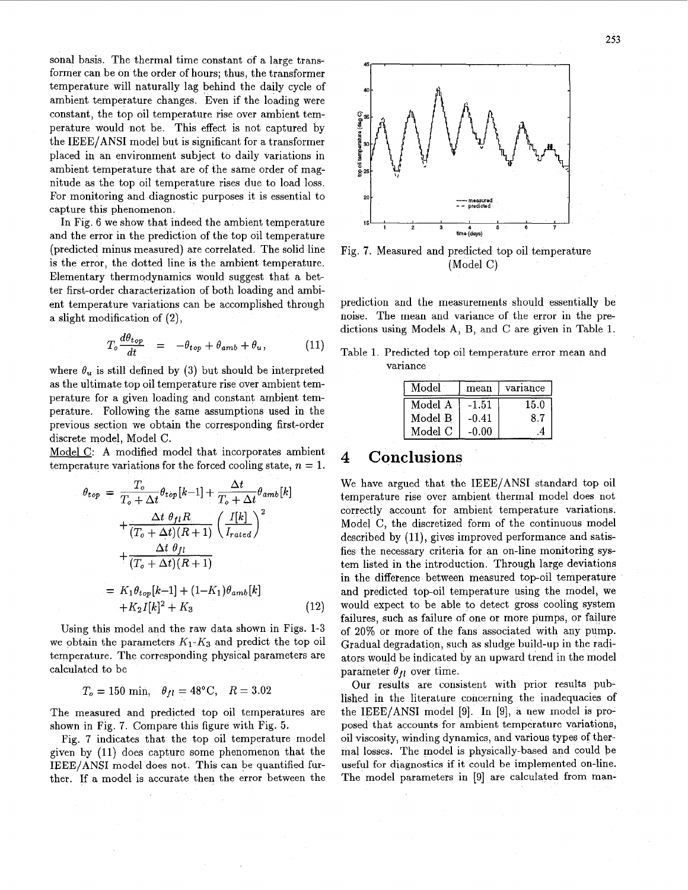<span id="page-4-0"></span>sonal basis. The thermal time constant of a large transformer can be on the order of hours; thus, the transformer temperature will naturally lag behind the daily cycle of ambient temperature changes. Even if the loading were constant, the top oil temperature rise over ambient temperature would not be. This effect is not captured by the IEEE/ANSI model but is significant for a transformer placed in an environment subject to daily variations in ambient temperature that are of the same order of magnitude as the top oil temperature rises due to load loss. For monitoring and diagnostic purposes it is essential to capture this phenomenon.

In Fig. 6 we show that indeed the ambient temperature and the error in the prediction of the top oil temperature (predicted minus measured) are correlated. The solid line is the error, the dotted line is the ambient temperature. Elementary thermodynamics would suggest that a better first-order characterization of both loading and ambient temperature variations can be accomplished through a slight modification of (2),

$$
T_o \frac{d\theta_{top}}{dt} = -\theta_{top} + \theta_{amb} + \theta_u, \qquad (11)
$$

where  $\theta_u$  is still defined by (3) but should be interpreted as the ultimate top oil temperature rise over ambient temperature for a given loading and constant ambient temperature. Following the same assumptions used in the previous section we obtain the corresponding first-order discrete model, Model C.

Model C: A modified model that incorporates ambient temperature variations for the forced cooling state,  $n = 1$ .

$$
\theta_{top} = \frac{T_o}{T_o + \Delta t} \theta_{top}[k-1] + \frac{\Delta t}{T_o + \Delta t} \theta_{amb}[k]
$$

$$
+ \frac{\Delta t}{(T_o + \Delta t)(R+1)} \left(\frac{I[k]}{I_{rated}}\right)^2
$$

$$
+ \frac{\Delta t}{(T_o + \Delta t)(R+1)}
$$

$$
= K_1 \theta_{top}[k-1] + (1-K_1)\theta_{amb}[k]
$$

$$
+ K_2 I[k]^2 + K_3
$$
(12)

Using this model and the raw data shown in Figs. 1-3 we obtain the parameters  $K_1-K_3$  and predict the top oil temperature. The corresponding physical parameters are calculated to be

$$
T_o = 150
$$
 min,  $\theta_{fl} = 48$ °C,  $R = 3.02$ 

The measured and predicted top oil temperatures are shown in Fig. 7. Compare this figure with Fig. 5.

Fig. 7 indicates that the top oil temperature model given by (11) does capture some phenomenon that the **IEEE/ANSI** model does **not.** This can be quantified further. If a model is accurate then the error between the



Fig. **7.** Measured and predicted top oil temperature (Model C)

prediction and the measurements should essentially be noise. The mean and variance of the error in the predictions using Models **A,** B, and C are given in Table 1.

Table 1. Predicted top oil temperature error mean and variance

| Model   | mean    | variance |
|---------|---------|----------|
| Model A | $-1.51$ | 15.0     |
| Model B | -0.41   | 8.7      |
| Model C | $-0.00$ | 4        |

# 4 **Conclusions**

We have argued that the IEEE/ANSI standard top oil temperature rise over ambient thermal model does not correctly account for ambient temperature variations. Model C, the discretized form of the continuous model described by  $(11)$ , gives improved performance and satisfies the necessary criteria for an on-line monitoring system listed in the introduction. Through large deviations in the difference between measured top-oil temperature and predicted top-oil temperature using the model, we would expect to be able to detect gross cooling system failures, such as failure of one or more pumps, or failure of 20% or more of the fans associated with any pump. Gradual degradation, such as sludge build-up in the radiators would be indicated by an upward trend in the model parameter  $\theta_{fl}$  over time.

Our results are consistent with prior results published in the literature concerning the inadequacies of the IEEE/ANSI model [9]. In [9], a new model is proposed that accounts for ambient temperature variations, oil viscosity, winding dynamics, and various types of thermal losses. The model is physically-based and could be useful for diagnostics if it could be implemented on-line. The model parameters in [9] are calculated from man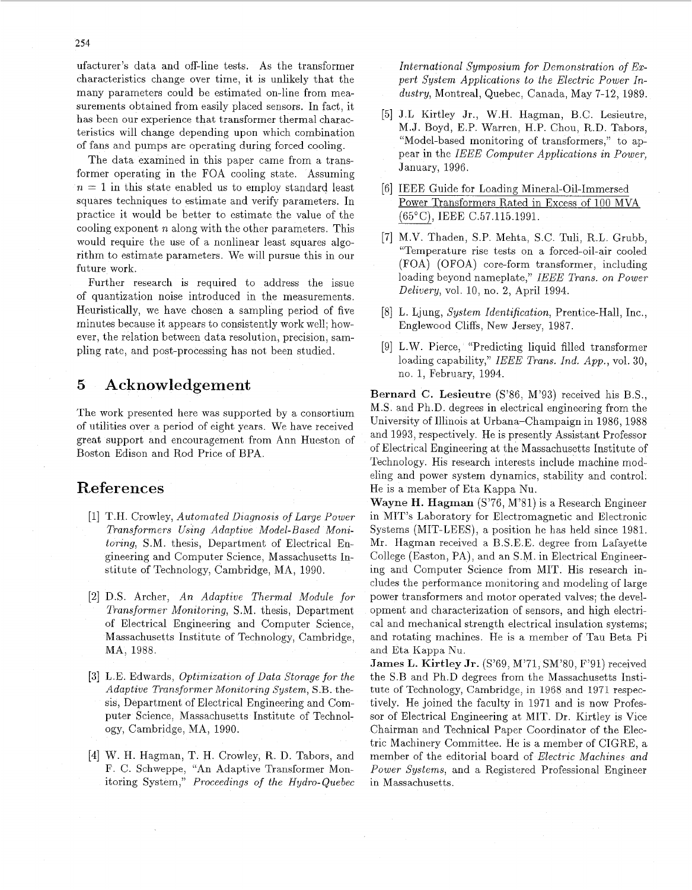ufacturer's data and off-line tests. As the transformer characteristics change over time, it is unlikely that the many parameters could be estimated on-line from measurements obtained from easily placed sensors. In fact, it has been our experience that transformer thermal characteristics will change depending upon which combination of fans and pumps are operating during forced cooling.

The data examined in this paper came from a transformer operating in the FOA cooling state. Assuming  $n = 1$  in this state enabled us to employ standard least squares techniques to estimate and verify parameters. In practice it would be better to estimate the value of the cooling exponent *n* along with the other parameters. This would require the use of a nonlinear least squares algorithm to estimate parameters. We will pursue this in our future work.

Further research is required to address the issue of quantization noise introduced in the measurements. Heuristically, we have chosen a sampling period of five minutes because it appears to consistently work well; however, the relation between data resolution, precision, sampling rate, and post-processing has not been studied.

## **5 Acknowledgement**

The work presented here was supported by a consortium of utilities over a period of eight years. We have received great support and encouragement from Ann Hueston of Boston Edison and Rod Price of BPA.

## **References**

- [1] T.H. Crowley, *Automated Diagnosis of Large Power* Transformers Using Adaptive Model-Based Moni*toring, S.M. thesis, Department of Electrical En*gineering and Computer Science, Massachusetts Institute of Technology, Cambridge, MA, 1990.
- [2] D.S. Archer, *An Adaptive Thermal Module for Transformer Monitoring, S.M. thesis, Department* of Electrical Engineering and Computer Science, Massachusetts Institute of Technology, Cambridge, MA, 1988.
- [3] L.E. Edwards, *Optimization of Data Storage for the Adaptwe Transformer Monatorong System,* S.B. thesis, Department of Electrical Engineering and Computer Science, Massachusetts Institute of Technology, Cambridge, MA, 1990.
- W. H. Hagman, T. H. Crowley, R. D. Tabors, and F. C. Schweppe, "An Adaptive Transformer Monitoring System," *Proceedzngs of the Hydro- Quebec*

*International Symposium for Demonstration of Expert System Applications to the Electric Power Industry,* Montreal, Quebec, Canada, May 7-12, 1989.

- J.L Kirtley Jr., W.H. Hagman, B.C. Lesieutre, M.J. Boyd, E.P. Warren, H.P. Chou, R.D. Tabors, "Model-based monitoring of transformers," to appear in the *IEEE Computer Applications in Power,*  January, 1996.
- [6] IEEE Guide for Loading Mineral-Oil-Immersed Power Transformers Rated in Excess of 100 MVA (65' C) , IEEE C .57.115.1991.
- [7] M.V. Thaden, S.P. Mehta, S.C. Tuli, R.L. Grubb, "Temperature rise tests on a forced-oil-air cooled (FOA) (OFOA) core-form transformer, including loading beyond nameplate," *IEEE Trans. on Power Delivery, vol.* 10, no. 2, April 1994.
- L. Ljung, *System Identification,* Prentice-Hall, Inc., Englewood Cliffs, New Jersey, 1987.
- [9] L.W. Pierce, "Predicting liquid filled transformer loading capability," *IEEE Trans. Ind. App.,* vol. 30, no. 1, February, 1994.

**Bernard C. Lesieutre** (S'86, M'93) received his B.S., M.S. and Ph.D. degrees in electrical engineering from the University of Illinois at Urbana-Champaign in 1986,1988 and 1993, respectively. He is presently Assistant Professor of Electrical Engineering at the Massachusetts Institute of Technology. His research interests include machine modeling and power system dynamics, stability and control. He is a member of Eta Kappa Nu.

**Wayne H. Hagman** (S'76, M'81) is a Research Engineer in MIT's Laboratory for Electromagnetic and Electronic Systems (MIT-LEES), a position he has held since 1981. Mr. Hagman received a B.S.E.E. degree from Lafayette College (Easton, PA), and an S.M. in Electrical Engineering and Computer Science from MIT. His research includes the performance monitoring and modeling of large power transformers and motor operated valves; the development and characterization of sensors, and high electrical and mechanical strength electrical insulation systems; and rotating machines. He is **a** member of Tau Beta Pi and Eta Kappa Nu.

**James L. Kirtley Jr.** (S'69, M'71, SM'80, F'91) received the S.B and Ph.D degrees from the Massachusetts Institute of Technology, Cambridge, in 1968 and 1971 respectively. He joined the faculty in 1971 and is now Professor of Electrical Engineering at MIT. Dr. Kirtley is Vice Chairman and Technical Paper Coordinator of the Electric Machinery Committee. He is a member of CIGRE, a member of the editorial board of *Electric Machines and Power Systems,* and a Registered Professional Engineer in Massachusetts.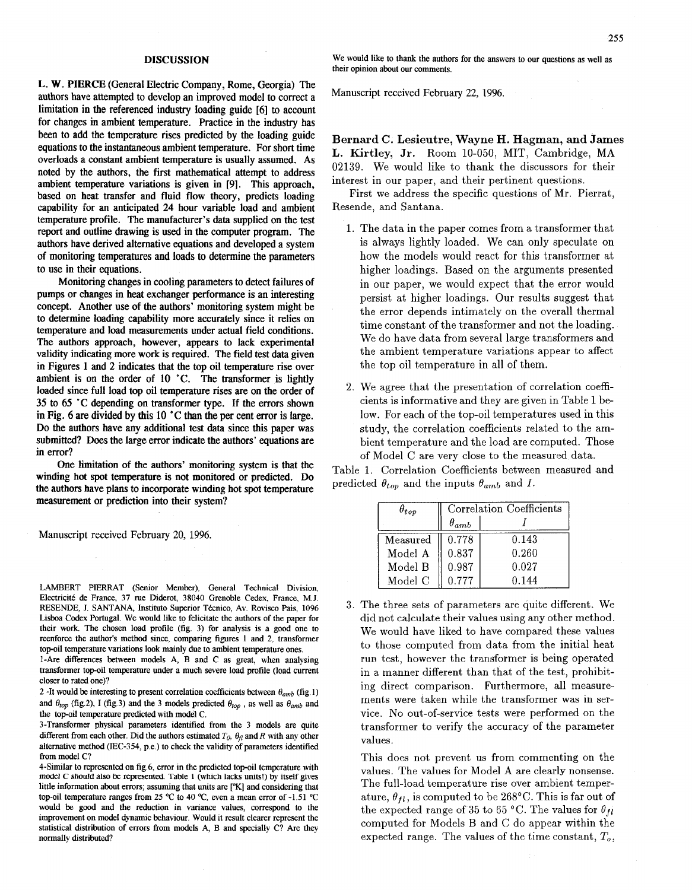#### **DISCUSSION**

L. **W.** PIERCE (General Electric Company, Rome, Georgia) The authors have attempted to develop an improved model to correct a limitation in the referenced industry loading guide [6] to account for changes in ambient temperature. Practice in the industry has been to add the temperature rises predicted by the loading guide equations to the instantaneous ambient temperature. For short time overloads a constant ambient temperature is usually assumed. As noted by the authors, the first mathematical attempt to address ambient temperature variations is given in **[9].** This approach, based on heat transfer and fluid flow theory, predicts loading capability for **an** anticipated **24** hour variable load and ambient temperature profile. The manufacturer's data supplied on the test report and outline drawing is used in the computer program. The authors have derived altemative equations and developed a system of monitoring temperatures and loads **to** determine the parameters to use in their equations.

Monitoring changes in cooling parameters to detect failures of pumps or changes in heat exchanger performance is an interesting concept. Another use of the authors' monitoring system might be to determine loading capability more accurately since it relies on temperature and load measurements under actual field conditions. The authors approach, however, appears to lack experimental validity indicating more work is required. The field test data given in [Figures 1](#page-2-0) and 2 indicates that the top oil temperature rise over ambient is on the order of 10 'C. The transformer is lightly loaded since full load top oil temperature rises are on the order of **35** to *65 'C* depending on transformer type. If the errors shown in Fig. 6 are divided by this 10 **"C than** the per cent error is large. Do the authors have any additional test data since this paper was submitted? Does the large error indicate the authors' equations are in error?

One limitation of the authors' monitoring system is that the winding hot **spot** temperature is not monitored or predicted. Do the authors have plans to incorporate winding hot spot temperature measurement or prediction into their system?

Manuscript received February 20, 1996.

LAMBERT PIERRAT (Senior Member), General Technical Division, Electricité de France, 37 rue Diderot, 38040 Grenoble Cedex, France, M.J. RESENDE, J. SANTANA, Instituto Superior Técnico, Av. Rovisco Pais, 1096 Lisboa Codex Portugal. We would like to felicitate the authors of the paper for their work. The chosen load profile (fig. 3) for analysis is a good one to reenforce the author's method since, comparing [figures 1](#page-2-0) and 2, transformer top-oil temperature variations look mainly due to ambient temperature ones.

1-Are differences between models A, B and C **as** great, when analysing transformer top-oil temperature under a much severe load profile (load current closer to rated one)?

2 -It would be interesting to present correlation coefficients between  $\theta_{amb}$  (fig. 1) and  $\theta_{top}$  (fig.2), I (fig.3) and the 3 models predicted  $\theta_{top}$ , as well as  $\theta_{amb}$  and the top-oil temperature predicted with model C.

3-Transformer physical parameters identified from the 3 models are quite different from each other. Did the authors estimated  $T_0$ ,  $\theta_{\eta}$  and R with any other alternative method (IEC-354, p.e.) to check the validity of parameters identified from model C?

4-Similar to represented on fig.6, error in the predicted top-oil temperature with model C should also be represented. [Table](#page-4-0) 1 (which lacks units!) by itself gives little information about errors; assuming that units are ["K] and considering that top-oil temperature ranges from 25 °C to 40 °C, even a mean error of -1.51 °C would **be** good and the reduction in variance values, correspond to the improvement on model dynamic behaviour. Would it result clearer represent the statistical distribution of errors from models A, B and specially C? Are they normally distributed?

We would like to thank the authors for the answers to our questions as well **as**  their opinion about our comments.

Manuscript received February 22, 1996.

**Bernard C. Lesieutre, Wayne H. Hagman, and James L. Kirtley, Jr.** Room 10-050, MIT, Cambridge, MA 02139. We would like to thank the discussors for their interest in our paper, and their pertinent questions.

First we address the specific questions of Mr. Pierrat, Resende, and Santana.

- 1. The data in the paper comes from a transformer that is always lightly loaded. We can only speculate on how the models would react for this transformer at higher loadings. Based on the arguments presented in our paper, we would expect that the error would persist at higher loadings. Our results suggest that the error depends intimately on the overall thermal time constant of the transformer and not the loading. We do have data from several large transformers and the ambient temperature variations appear to affect the top oil temperature in all of them.
- 2. We agree that the presentation of correlation coefficients is informative and they are given in [Table 1](#page-4-0) below. For each of the top-oil temperatures used in this study, the correlation coefficients related to the ambient temperature and the load are computed. Those of Model C are very close to the measured data.

[Table 1.](#page-4-0) Correlation Coefficients between measured and predicted  $\theta_{top}$  and the inputs  $\theta_{amb}$  and *I*.

|          | Correlation Coefficients |       |
|----------|--------------------------|-------|
|          | $\theta_{amb}$           |       |
| Measured | 0.778                    | 0.143 |
| Model A  | 0.837                    | 0.260 |
| Model B  | 0.987                    | 0.027 |
| Model C  | 0.777                    | 0.144 |

3. The three sets of parameters are quite different. We did not calculate their values using any other method. We would have liked to have compared these values to those computed from data from the initial heat run test, however the transformer is being operated in a manner different than that of the test, prohibiting direct comparison. Furthermore, all measurements were taken while the transformer was in service. No out-of-service tests were performed on the transformer to verify the accuracy of the parameter values.

This does not prevent us from commenting on the values. The values for Model **A** are clearly nonsense. The full-load temperature rise over ambient temperature,  $\theta_{fl}$ , is computed to be 268°C. This is far out of the expected range of 35 to 65 °C. The values for  $\theta_{fl}$ computed for Models B and C do appear within the expected range. The values of the time constant, *To,*